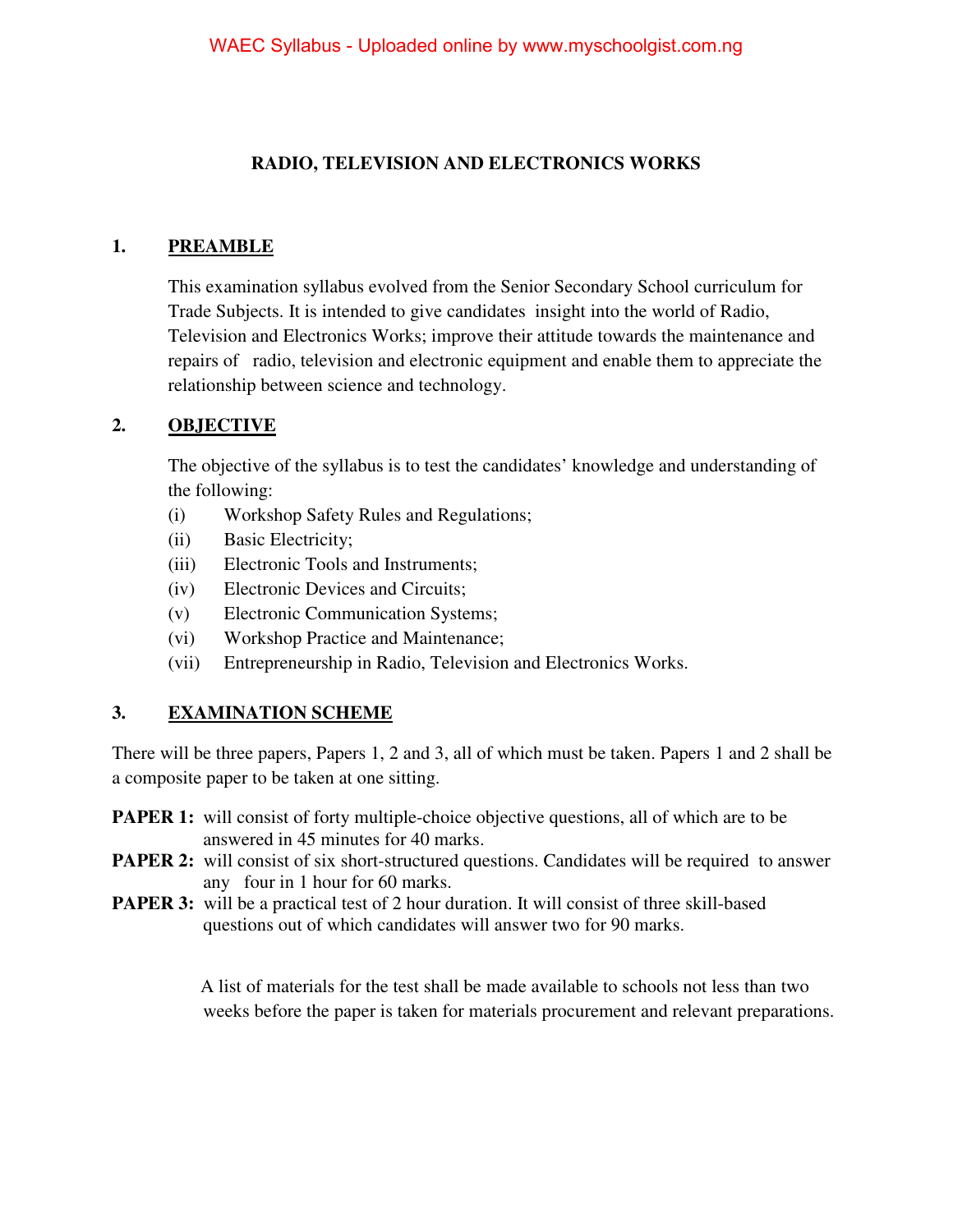## **RADIO, TELEVISION AND ELECTRONICS WORKS**

#### **1. PREAMBLE**

This examination syllabus evolved from the Senior Secondary School curriculum for Trade Subjects. It is intended to give candidates insight into the world of Radio, Television and Electronics Works; improve their attitude towards the maintenance and repairs of radio, television and electronic equipment and enable them to appreciate the relationship between science and technology.

#### **2. OBJECTIVE**

The objective of the syllabus is to test the candidates' knowledge and understanding of the following:

- (i) Workshop Safety Rules and Regulations;
- (ii) Basic Electricity;
- (iii) Electronic Tools and Instruments;
- (iv) Electronic Devices and Circuits;
- (v) Electronic Communication Systems;
- (vi) Workshop Practice and Maintenance;
- (vii) Entrepreneurship in Radio, Television and Electronics Works.

#### **3. EXAMINATION SCHEME**

There will be three papers, Papers 1, 2 and 3, all of which must be taken. Papers 1 and 2 shall be a composite paper to be taken at one sitting.

- **PAPER 1:** will consist of forty multiple-choice objective questions, all of which are to be answered in 45 minutes for 40 marks.
- **PAPER 2:** will consist of six short-structured questions. Candidates will be required to answer any four in 1 hour for 60 marks.
- **PAPER 3:** will be a practical test of 2 hour duration. It will consist of three skill-based questions out of which candidates will answer two for 90 marks.

 A list of materials for the test shall be made available to schools not less than two weeks before the paper is taken for materials procurement and relevant preparations.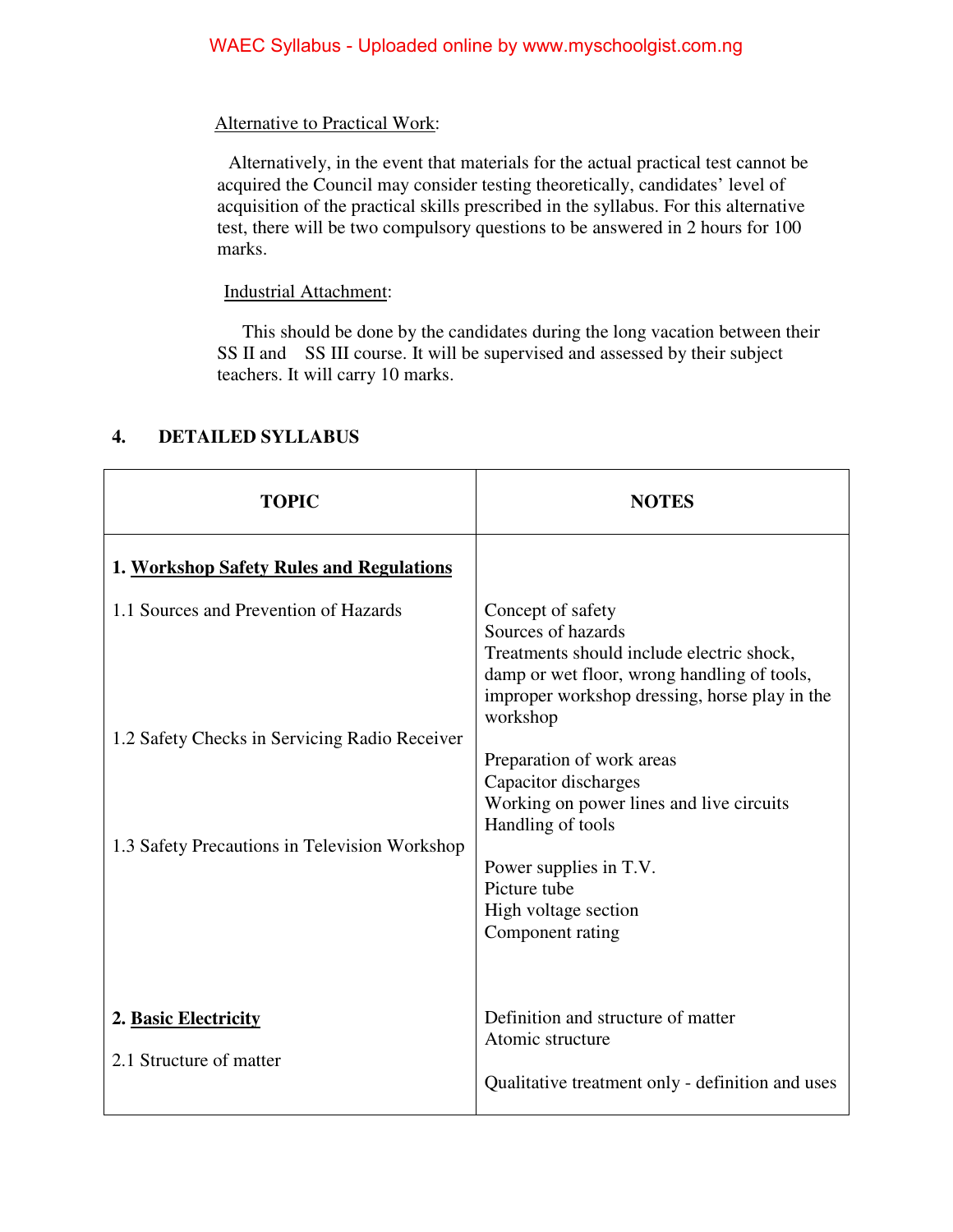### Alternative to Practical Work:

 Alternatively, in the event that materials for the actual practical test cannot be acquired the Council may consider testing theoretically, candidates' level of acquisition of the practical skills prescribed in the syllabus. For this alternative test, there will be two compulsory questions to be answered in 2 hours for 100 marks.

### Industrial Attachment:

 This should be done by the candidates during the long vacation between their SS II and SS III course. It will be supervised and assessed by their subject teachers. It will carry 10 marks.

| <b>TOPIC</b>                                                                                   | <b>NOTES</b>                                                                                                                                                                                                         |
|------------------------------------------------------------------------------------------------|----------------------------------------------------------------------------------------------------------------------------------------------------------------------------------------------------------------------|
| 1. Workshop Safety Rules and Regulations                                                       |                                                                                                                                                                                                                      |
| 1.1 Sources and Prevention of Hazards                                                          | Concept of safety<br>Sources of hazards<br>Treatments should include electric shock,<br>damp or wet floor, wrong handling of tools,<br>improper workshop dressing, horse play in the                                 |
| 1.2 Safety Checks in Servicing Radio Receiver<br>1.3 Safety Precautions in Television Workshop | workshop<br>Preparation of work areas<br>Capacitor discharges<br>Working on power lines and live circuits<br>Handling of tools<br>Power supplies in T.V.<br>Picture tube<br>High voltage section<br>Component rating |
| 2. Basic Electricity<br>2.1 Structure of matter                                                | Definition and structure of matter<br>Atomic structure<br>Qualitative treatment only - definition and uses                                                                                                           |

# **4. DETAILED SYLLABUS**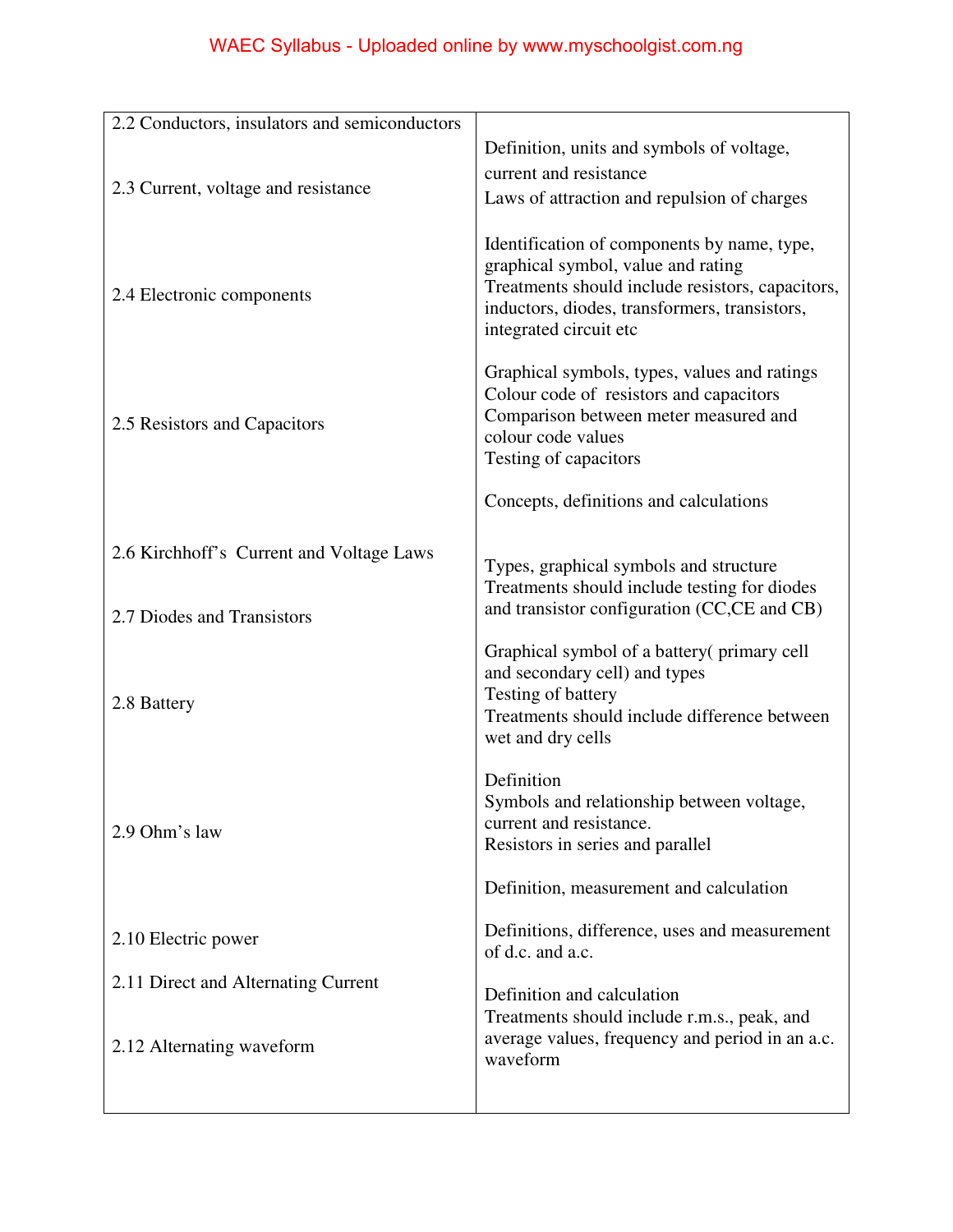| 2.2 Conductors, insulators and semiconductors                          |                                                                                                                                                                                                                  |
|------------------------------------------------------------------------|------------------------------------------------------------------------------------------------------------------------------------------------------------------------------------------------------------------|
|                                                                        | Definition, units and symbols of voltage,                                                                                                                                                                        |
| 2.3 Current, voltage and resistance                                    | current and resistance                                                                                                                                                                                           |
|                                                                        | Laws of attraction and repulsion of charges                                                                                                                                                                      |
| 2.4 Electronic components                                              | Identification of components by name, type,<br>graphical symbol, value and rating<br>Treatments should include resistors, capacitors,<br>inductors, diodes, transformers, transistors,<br>integrated circuit etc |
| 2.5 Resistors and Capacitors                                           | Graphical symbols, types, values and ratings<br>Colour code of resistors and capacitors<br>Comparison between meter measured and<br>colour code values<br>Testing of capacitors                                  |
|                                                                        | Concepts, definitions and calculations                                                                                                                                                                           |
| 2.6 Kirchhoff's Current and Voltage Laws<br>2.7 Diodes and Transistors | Types, graphical symbols and structure<br>Treatments should include testing for diodes<br>and transistor configuration (CC,CE and CB)                                                                            |
|                                                                        |                                                                                                                                                                                                                  |
| 2.8 Battery                                                            | Graphical symbol of a battery (primary cell<br>and secondary cell) and types<br>Testing of battery<br>Treatments should include difference between<br>wet and dry cells                                          |
| 2.9 Ohm's law                                                          | Definition<br>Symbols and relationship between voltage,<br>current and resistance.<br>Resistors in series and parallel                                                                                           |
|                                                                        | Definition, measurement and calculation                                                                                                                                                                          |
| 2.10 Electric power                                                    | Definitions, difference, uses and measurement<br>of d.c. and a.c.                                                                                                                                                |
| 2.11 Direct and Alternating Current                                    | Definition and calculation<br>Treatments should include r.m.s., peak, and                                                                                                                                        |
| 2.12 Alternating waveform                                              | average values, frequency and period in an a.c.<br>waveform                                                                                                                                                      |
|                                                                        |                                                                                                                                                                                                                  |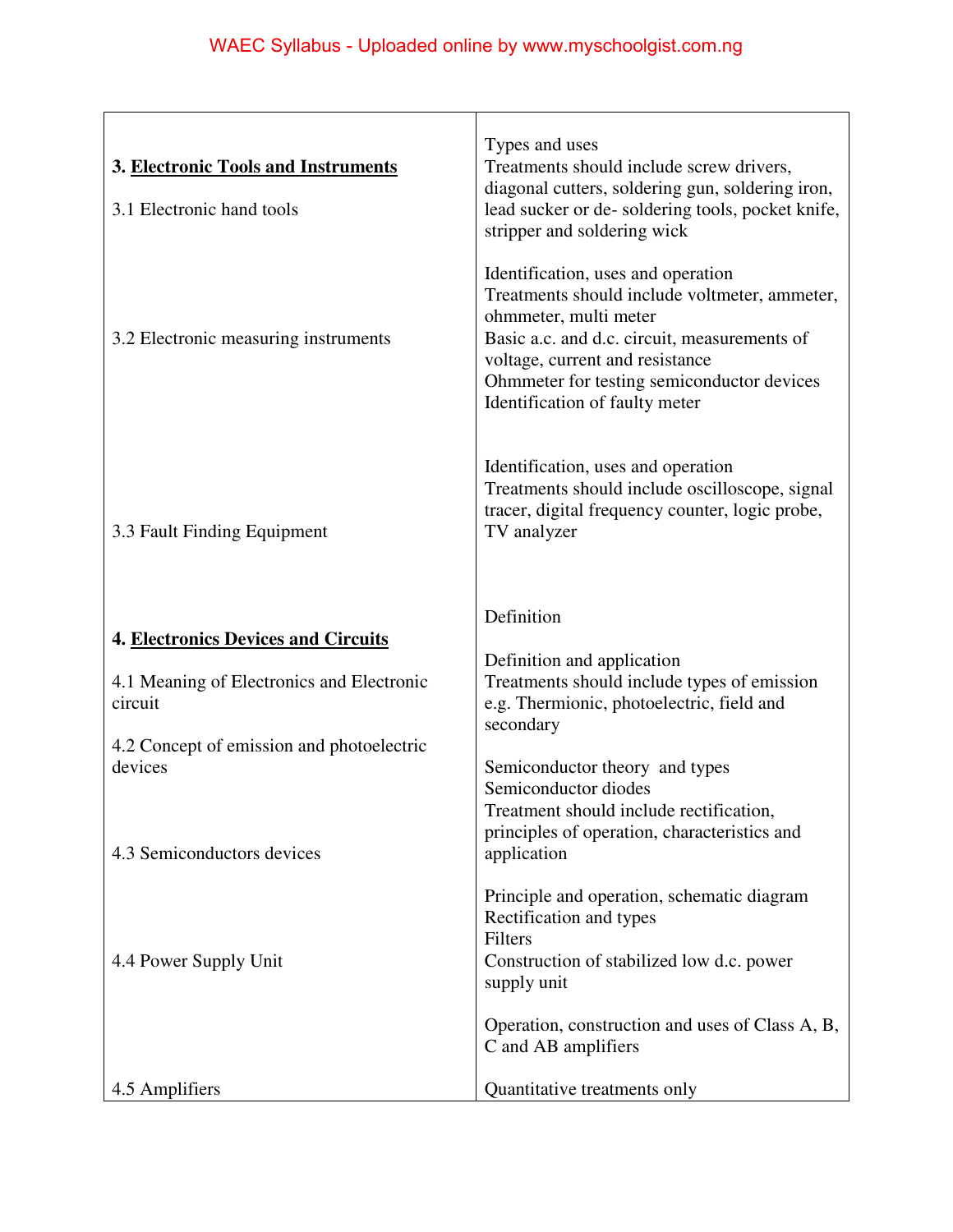| 3. Electronic Tools and Instruments<br>3.1 Electronic hand tools | Types and uses<br>Treatments should include screw drivers,<br>diagonal cutters, soldering gun, soldering iron,<br>lead sucker or de-soldering tools, pocket knife,<br>stripper and soldering wick                                                                               |
|------------------------------------------------------------------|---------------------------------------------------------------------------------------------------------------------------------------------------------------------------------------------------------------------------------------------------------------------------------|
| 3.2 Electronic measuring instruments                             | Identification, uses and operation<br>Treatments should include voltmeter, ammeter,<br>ohmmeter, multi meter<br>Basic a.c. and d.c. circuit, measurements of<br>voltage, current and resistance<br>Ohmmeter for testing semiconductor devices<br>Identification of faulty meter |
| 3.3 Fault Finding Equipment                                      | Identification, uses and operation<br>Treatments should include oscilloscope, signal<br>tracer, digital frequency counter, logic probe,<br>TV analyzer                                                                                                                          |
|                                                                  | Definition                                                                                                                                                                                                                                                                      |
| <b>4. Electronics Devices and Circuits</b>                       | Definition and application                                                                                                                                                                                                                                                      |
| 4.1 Meaning of Electronics and Electronic<br>circuit             | Treatments should include types of emission<br>e.g. Thermionic, photoelectric, field and<br>secondary                                                                                                                                                                           |
| 4.2 Concept of emission and photoelectric<br>devices             | Semiconductor theory and types                                                                                                                                                                                                                                                  |
|                                                                  | Semiconductor diodes                                                                                                                                                                                                                                                            |
|                                                                  | Treatment should include rectification,<br>principles of operation, characteristics and                                                                                                                                                                                         |
| 4.3 Semiconductors devices                                       | application                                                                                                                                                                                                                                                                     |
| 4.4 Power Supply Unit                                            | Principle and operation, schematic diagram<br>Rectification and types<br>Filters<br>Construction of stabilized low d.c. power<br>supply unit                                                                                                                                    |
|                                                                  | Operation, construction and uses of Class A, B,<br>C and AB amplifiers                                                                                                                                                                                                          |
| 4.5 Amplifiers                                                   | Quantitative treatments only                                                                                                                                                                                                                                                    |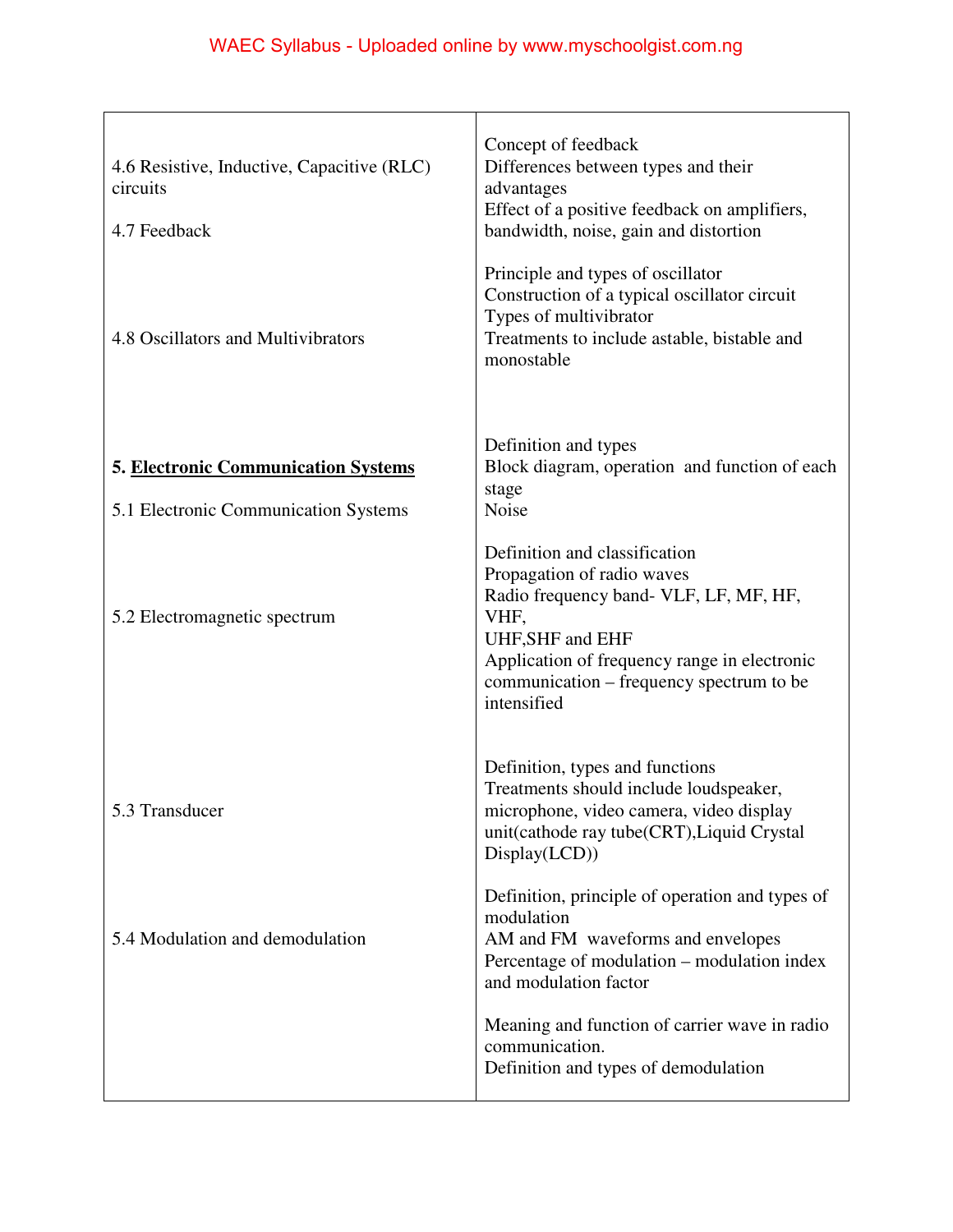| 4.6 Resistive, Inductive, Capacitive (RLC)<br>circuits<br>4.7 Feedback             | Concept of feedback<br>Differences between types and their<br>advantages<br>Effect of a positive feedback on amplifiers,<br>bandwidth, noise, gain and distortion                                                                            |
|------------------------------------------------------------------------------------|----------------------------------------------------------------------------------------------------------------------------------------------------------------------------------------------------------------------------------------------|
| 4.8 Oscillators and Multivibrators                                                 | Principle and types of oscillator<br>Construction of a typical oscillator circuit<br>Types of multivibrator<br>Treatments to include astable, bistable and<br>monostable                                                                     |
| <b>5. Electronic Communication Systems</b><br>5.1 Electronic Communication Systems | Definition and types<br>Block diagram, operation and function of each<br>stage<br>Noise                                                                                                                                                      |
| 5.2 Electromagnetic spectrum                                                       | Definition and classification<br>Propagation of radio waves<br>Radio frequency band- VLF, LF, MF, HF,<br>VHF,<br>UHF, SHF and EHF<br>Application of frequency range in electronic<br>communication – frequency spectrum to be<br>intensified |
| 5.3 Transducer                                                                     | Definition, types and functions<br>Treatments should include loudspeaker,<br>microphone, video camera, video display<br>unit(cathode ray tube(CRT), Liquid Crystal<br>Display(LCD))                                                          |
| 5.4 Modulation and demodulation                                                    | Definition, principle of operation and types of<br>modulation<br>AM and FM waveforms and envelopes<br>Percentage of modulation – modulation index<br>and modulation factor                                                                   |
|                                                                                    | Meaning and function of carrier wave in radio<br>communication.<br>Definition and types of demodulation                                                                                                                                      |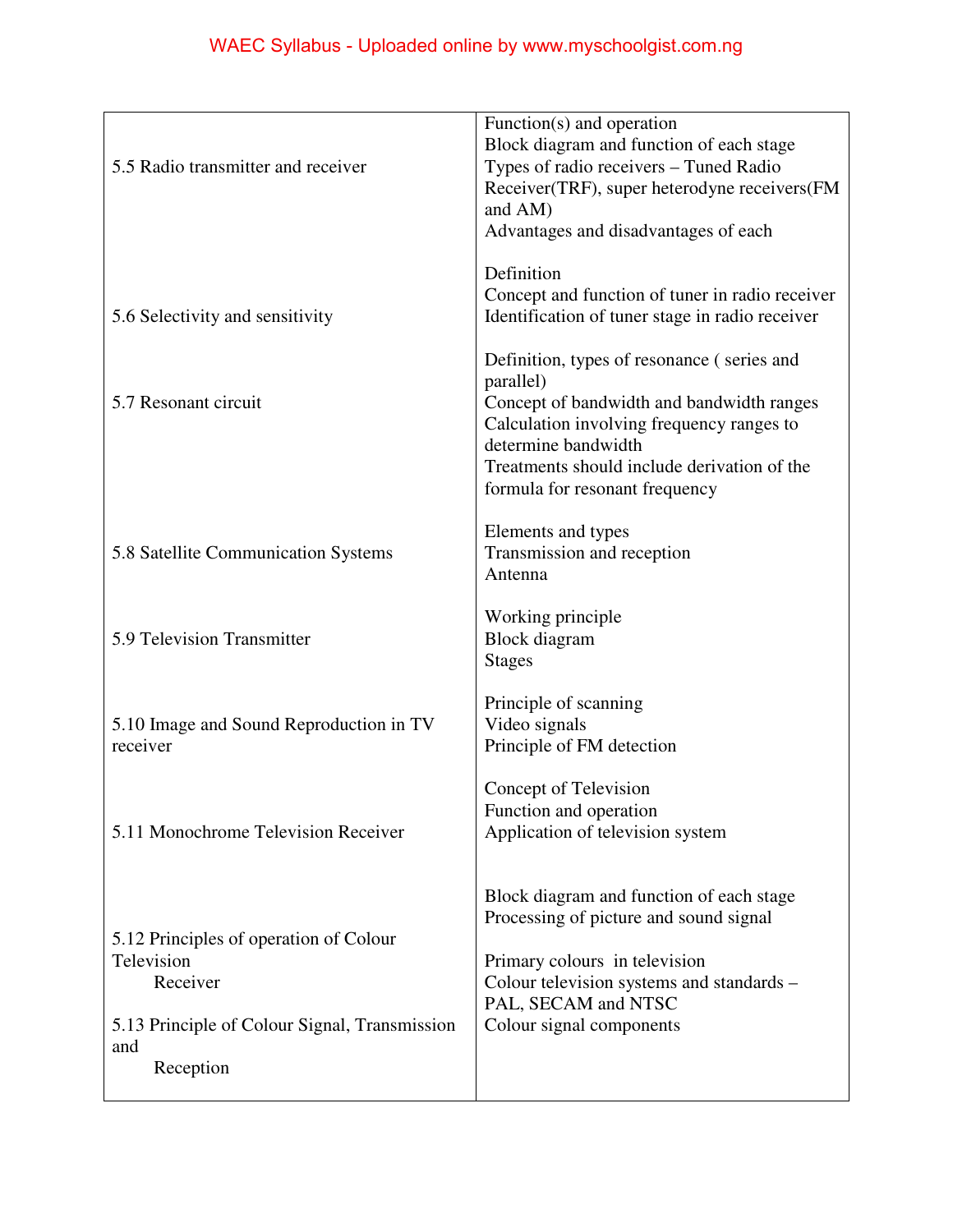| 5.5 Radio transmitter and receiver                                                                                                    | Function(s) and operation<br>Block diagram and function of each stage<br>Types of radio receivers - Tuned Radio<br>Receiver(TRF), super heterodyne receivers(FM<br>and AM)<br>Advantages and disadvantages of each                                        |
|---------------------------------------------------------------------------------------------------------------------------------------|-----------------------------------------------------------------------------------------------------------------------------------------------------------------------------------------------------------------------------------------------------------|
| 5.6 Selectivity and sensitivity                                                                                                       | Definition<br>Concept and function of tuner in radio receiver<br>Identification of tuner stage in radio receiver                                                                                                                                          |
| 5.7 Resonant circuit                                                                                                                  | Definition, types of resonance (series and<br>parallel)<br>Concept of bandwidth and bandwidth ranges<br>Calculation involving frequency ranges to<br>determine bandwidth<br>Treatments should include derivation of the<br>formula for resonant frequency |
| 5.8 Satellite Communication Systems                                                                                                   | Elements and types<br>Transmission and reception<br>Antenna                                                                                                                                                                                               |
| 5.9 Television Transmitter                                                                                                            | Working principle<br><b>Block</b> diagram<br><b>Stages</b>                                                                                                                                                                                                |
| 5.10 Image and Sound Reproduction in TV<br>receiver                                                                                   | Principle of scanning<br>Video signals<br>Principle of FM detection                                                                                                                                                                                       |
| 5.11 Monochrome Television Receiver                                                                                                   | Concept of Television<br>Function and operation<br>Application of television system                                                                                                                                                                       |
| 5.12 Principles of operation of Colour<br>Television<br>Receiver<br>5.13 Principle of Colour Signal, Transmission<br>and<br>Reception | Block diagram and function of each stage<br>Processing of picture and sound signal<br>Primary colours in television<br>Colour television systems and standards –<br>PAL, SECAM and NTSC<br>Colour signal components                                       |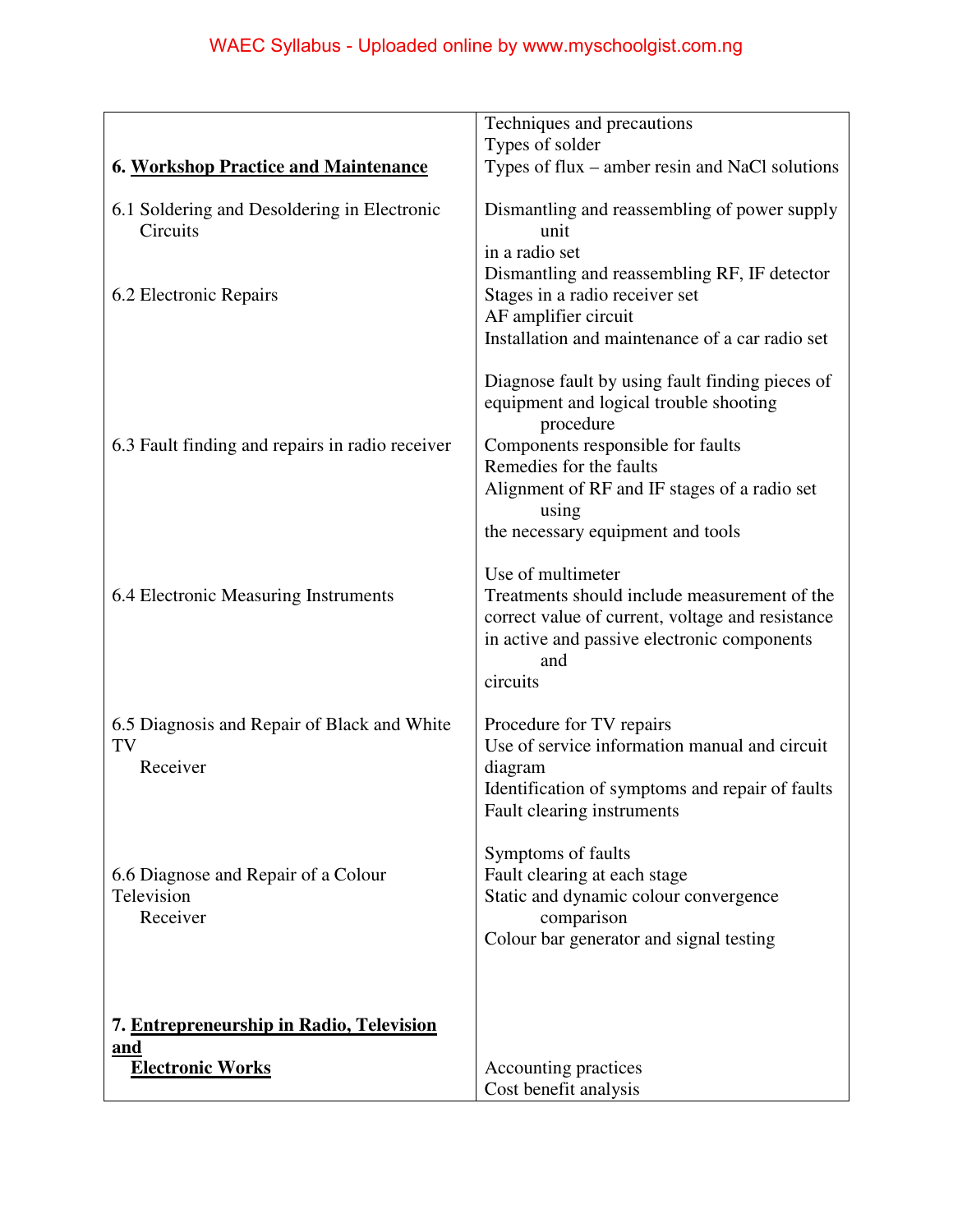|                                                               | Techniques and precautions                                                                                                                                                                                                                                           |
|---------------------------------------------------------------|----------------------------------------------------------------------------------------------------------------------------------------------------------------------------------------------------------------------------------------------------------------------|
|                                                               | Types of solder                                                                                                                                                                                                                                                      |
| <b>6. Workshop Practice and Maintenance</b>                   | Types of flux – amber resin and NaCl solutions                                                                                                                                                                                                                       |
| 6.1 Soldering and Desoldering in Electronic<br>Circuits       | Dismantling and reassembling of power supply<br>unit                                                                                                                                                                                                                 |
| 6.2 Electronic Repairs                                        | in a radio set<br>Dismantling and reassembling RF, IF detector<br>Stages in a radio receiver set<br>AF amplifier circuit<br>Installation and maintenance of a car radio set                                                                                          |
| 6.3 Fault finding and repairs in radio receiver               | Diagnose fault by using fault finding pieces of<br>equipment and logical trouble shooting<br>procedure<br>Components responsible for faults<br>Remedies for the faults<br>Alignment of RF and IF stages of a radio set<br>using<br>the necessary equipment and tools |
| 6.4 Electronic Measuring Instruments                          | Use of multimeter<br>Treatments should include measurement of the<br>correct value of current, voltage and resistance<br>in active and passive electronic components<br>and<br>circuits                                                                              |
| 6.5 Diagnosis and Repair of Black and White<br>TV<br>Receiver | Procedure for TV repairs<br>Use of service information manual and circuit<br>diagram<br>Identification of symptoms and repair of faults<br>Fault clearing instruments                                                                                                |
| 6.6 Diagnose and Repair of a Colour<br>Television<br>Receiver | Symptoms of faults<br>Fault clearing at each stage<br>Static and dynamic colour convergence<br>comparison<br>Colour bar generator and signal testing                                                                                                                 |
| 7. Entrepreneurship in Radio, Television<br>and               |                                                                                                                                                                                                                                                                      |
| <b>Electronic Works</b>                                       | Accounting practices<br>Cost benefit analysis                                                                                                                                                                                                                        |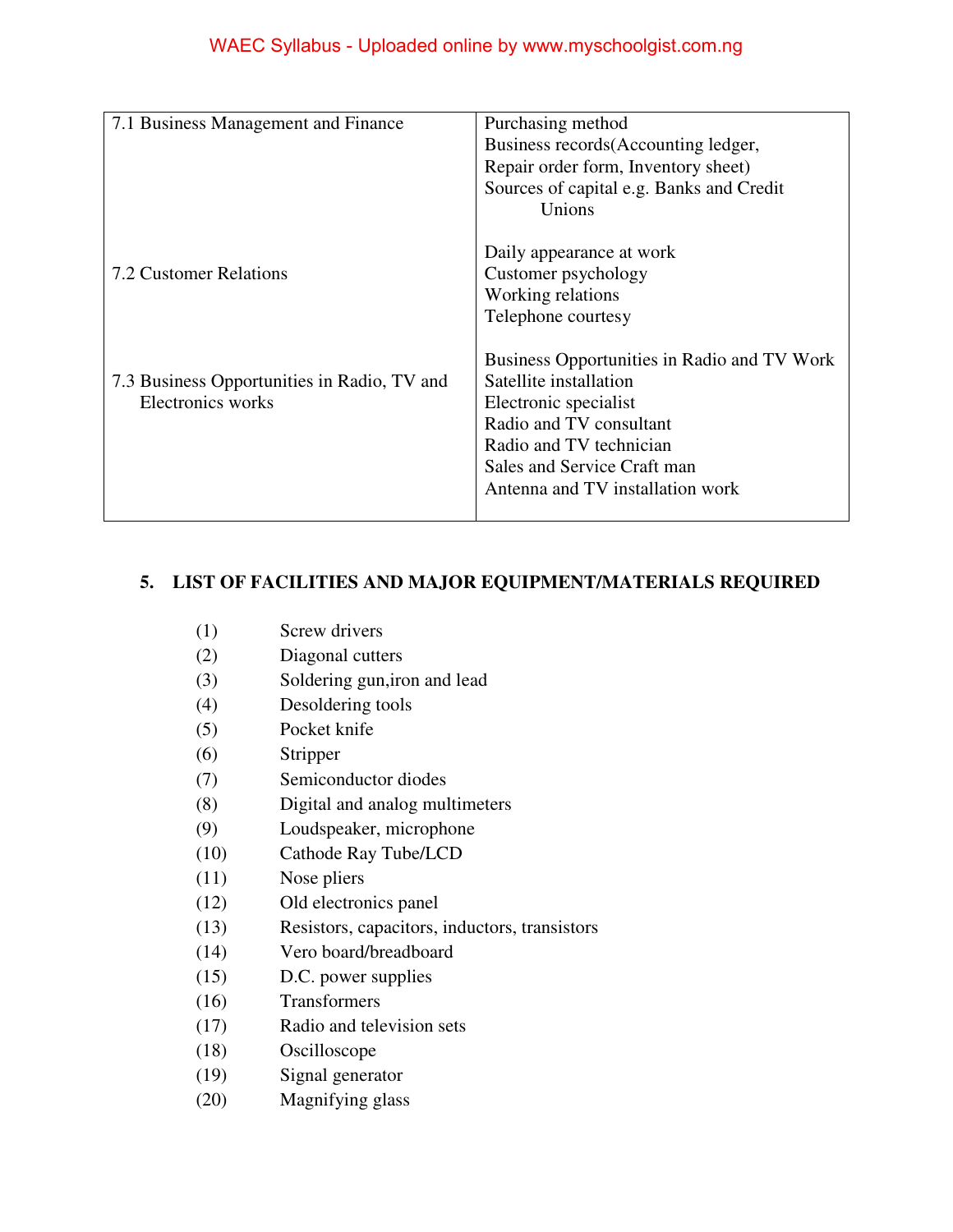| 7.1 Business Management and Finance         | Purchasing method                           |
|---------------------------------------------|---------------------------------------------|
|                                             | Business records (Accounting ledger,        |
|                                             | Repair order form, Inventory sheet)         |
|                                             | Sources of capital e.g. Banks and Credit    |
|                                             | Unions                                      |
|                                             |                                             |
|                                             | Daily appearance at work                    |
| 7.2 Customer Relations                      | Customer psychology                         |
|                                             | Working relations                           |
|                                             | Telephone courtesy                          |
|                                             | Business Opportunities in Radio and TV Work |
|                                             | Satellite installation                      |
| 7.3 Business Opportunities in Radio, TV and |                                             |
| Electronics works                           | Electronic specialist                       |
|                                             | Radio and TV consultant                     |
|                                             | Radio and TV technician                     |
|                                             | Sales and Service Craft man                 |
|                                             | Antenna and TV installation work            |
|                                             |                                             |
|                                             |                                             |

## **5. LIST OF FACILITIES AND MAJOR EQUIPMENT/MATERIALS REQUIRED**

- (2) Diagonal cutters
- (3) Soldering gun,iron and lead
- (4) Desoldering tools
- (5) Pocket knife
- (6) Stripper
- (7) Semiconductor diodes
- (8) Digital and analog multimeters
- (9) Loudspeaker, microphone
- (10) Cathode Ray Tube/LCD
- (11) Nose pliers
- (12) Old electronics panel
- (13) Resistors, capacitors, inductors, transistors
- (14) Vero board/breadboard
- (15) D.C. power supplies
- (16) Transformers
- (17) Radio and television sets
- (18) Oscilloscope
- (19) Signal generator
- (20) Magnifying glass